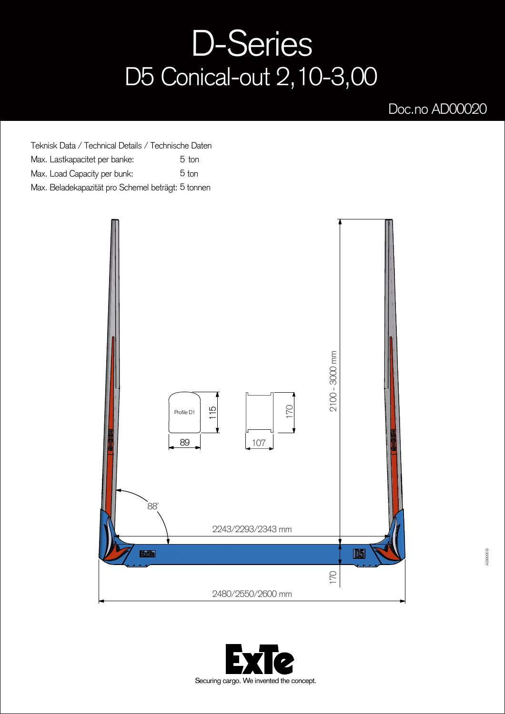## D-Series D5 Conical-out 2,10-3,00

## Doc.no AD00020

Teknisk Data / Technical Details / Technische Daten Max. Lastkapacitet per banke: Max. Load Capacity per bunk: Max. Beladekapazität pro Schemel beträgt: 5 tonnen 5 ton 5 ton